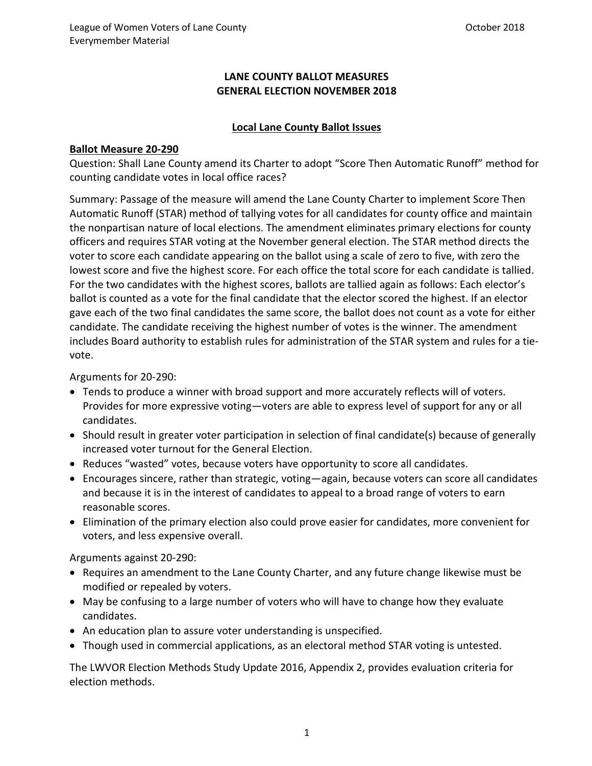## **LANE COUNTY BALLOT MEASURES GENERAL ELECTION NOVEMBER 2018**

#### **Local Lane County Ballot Issues**

#### **Ballot Measure 20-290**

Question: Shall Lane County amend its Charter to adopt "Score Then Automatic Runoff" method for counting candidate votes in local office races?

Summary: Passage of the measure will amend the Lane County Charter to implement Score Then Automatic Runoff (STAR) method of tallying votes for all candidates for county office and maintain the nonpartisan nature of local elections. The amendment eliminates primary elections for county officers and requires STAR voting at the November general election. The STAR method directs the voter to score each candidate appearing on the ballot using a scale of zero to five, with zero the lowest score and five the highest score. For each office the total score for each candidate is tallied. For the two candidates with the highest scores, ballots are tallied again as follows: Each elector's ballot is counted as a vote for the final candidate that the elector scored the highest. If an elector gave each of the two final candidates the same score, the ballot does not count as a vote for either candidate. The candidate receiving the highest number of votes is the winner. The amendment includes Board authority to establish rules for administration of the STAR system and rules for a tievote.

#### Arguments for 20-290:

- Tends to produce a winner with broad support and more accurately reflects will of voters. Provides for more expressive voting—voters are able to express level of support for any or all candidates.
- Should result in greater voter participation in selection of final candidate(s) because of generally increased voter turnout for the General Election.
- Reduces "wasted" votes, because voters have opportunity to score all candidates.
- Encourages sincere, rather than strategic, voting—again, because voters can score all candidates and because it is in the interest of candidates to appeal to a broad range of voters to earn reasonable scores.
- Elimination of the primary election also could prove easier for candidates, more convenient for voters, and less expensive overall.

Arguments against 20-290:

- Requires an amendment to the Lane County Charter, and any future change likewise must be modified or repealed by voters.
- May be confusing to a large number of voters who will have to change how they evaluate candidates.
- An education plan to assure voter understanding is unspecified.
- Though used in commercial applications, as an electoral method STAR voting is untested.

The LWVOR Election Methods Study Update 2016, Appendix 2, provides evaluation criteria for election methods.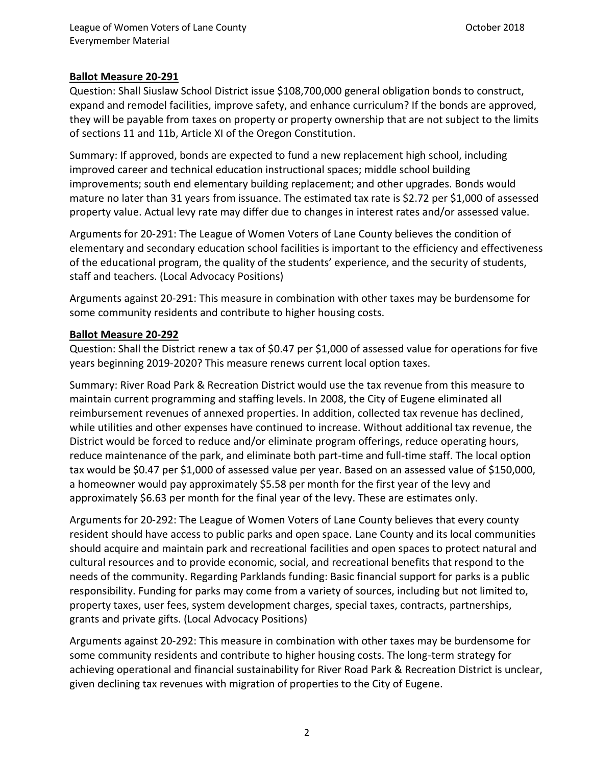## **Ballot Measure 20-291**

Question: Shall Siuslaw School District issue \$108,700,000 general obligation bonds to construct, expand and remodel facilities, improve safety, and enhance curriculum? If the bonds are approved, they will be payable from taxes on property or property ownership that are not subject to the limits of sections 11 and 11b, Article XI of the Oregon Constitution.

Summary: If approved, bonds are expected to fund a new replacement high school, including improved career and technical education instructional spaces; middle school building improvements; south end elementary building replacement; and other upgrades. Bonds would mature no later than 31 years from issuance. The estimated tax rate is \$2.72 per \$1,000 of assessed property value. Actual levy rate may differ due to changes in interest rates and/or assessed value.

Arguments for 20-291: The League of Women Voters of Lane County believes the condition of elementary and secondary education school facilities is important to the efficiency and effectiveness of the educational program, the quality of the students' experience, and the security of students, staff and teachers. (Local Advocacy Positions)

Arguments against 20-291: This measure in combination with other taxes may be burdensome for some community residents and contribute to higher housing costs.

#### **Ballot Measure 20-292**

Question: Shall the District renew a tax of \$0.47 per \$1,000 of assessed value for operations for five years beginning 2019-2020? This measure renews current local option taxes.

Summary: River Road Park & Recreation District would use the tax revenue from this measure to maintain current programming and staffing levels. In 2008, the City of Eugene eliminated all reimbursement revenues of annexed properties. In addition, collected tax revenue has declined, while utilities and other expenses have continued to increase. Without additional tax revenue, the District would be forced to reduce and/or eliminate program offerings, reduce operating hours, reduce maintenance of the park, and eliminate both part-time and full-time staff. The local option tax would be \$0.47 per \$1,000 of assessed value per year. Based on an assessed value of \$150,000, a homeowner would pay approximately \$5.58 per month for the first year of the levy and approximately \$6.63 per month for the final year of the levy. These are estimates only.

Arguments for 20-292: The League of Women Voters of Lane County believes that every county resident should have access to public parks and open space. Lane County and its local communities should acquire and maintain park and recreational facilities and open spaces to protect natural and cultural resources and to provide economic, social, and recreational benefits that respond to the needs of the community. Regarding Parklands funding: Basic financial support for parks is a public responsibility. Funding for parks may come from a variety of sources, including but not limited to, property taxes, user fees, system development charges, special taxes, contracts, partnerships, grants and private gifts. (Local Advocacy Positions)

Arguments against 20-292: This measure in combination with other taxes may be burdensome for some community residents and contribute to higher housing costs. The long-term strategy for achieving operational and financial sustainability for River Road Park & Recreation District is unclear, given declining tax revenues with migration of properties to the City of Eugene.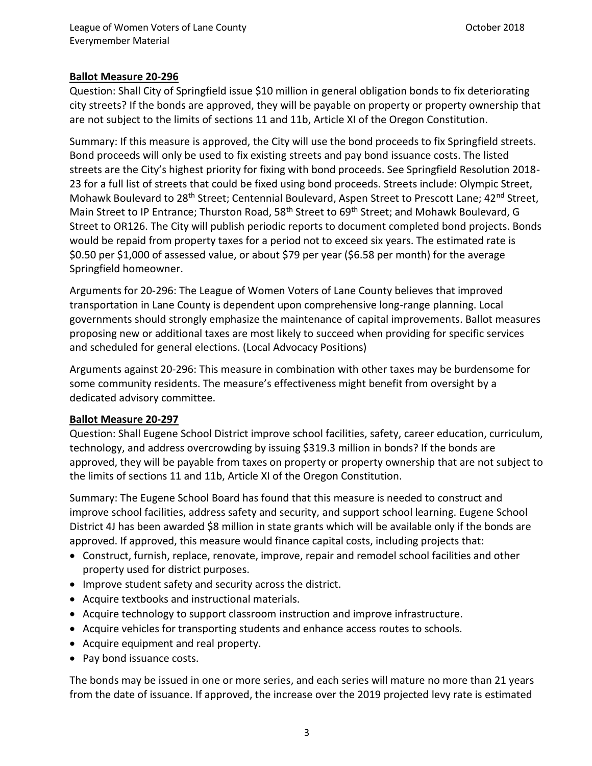## **Ballot Measure 20-296**

Question: Shall City of Springfield issue \$10 million in general obligation bonds to fix deteriorating city streets? If the bonds are approved, they will be payable on property or property ownership that are not subject to the limits of sections 11 and 11b, Article XI of the Oregon Constitution.

Summary: If this measure is approved, the City will use the bond proceeds to fix Springfield streets. Bond proceeds will only be used to fix existing streets and pay bond issuance costs. The listed streets are the City's highest priority for fixing with bond proceeds. See Springfield Resolution 2018- 23 for a full list of streets that could be fixed using bond proceeds. Streets include: Olympic Street, Mohawk Boulevard to 28<sup>th</sup> Street; Centennial Boulevard, Aspen Street to Prescott Lane; 42<sup>nd</sup> Street, Main Street to IP Entrance; Thurston Road, 58<sup>th</sup> Street to 69<sup>th</sup> Street; and Mohawk Boulevard, G Street to OR126. The City will publish periodic reports to document completed bond projects. Bonds would be repaid from property taxes for a period not to exceed six years. The estimated rate is \$0.50 per \$1,000 of assessed value, or about \$79 per year (\$6.58 per month) for the average Springfield homeowner.

Arguments for 20-296: The League of Women Voters of Lane County believes that improved transportation in Lane County is dependent upon comprehensive long-range planning. Local governments should strongly emphasize the maintenance of capital improvements. Ballot measures proposing new or additional taxes are most likely to succeed when providing for specific services and scheduled for general elections. (Local Advocacy Positions)

Arguments against 20-296: This measure in combination with other taxes may be burdensome for some community residents. The measure's effectiveness might benefit from oversight by a dedicated advisory committee.

#### **Ballot Measure 20-297**

Question: Shall Eugene School District improve school facilities, safety, career education, curriculum, technology, and address overcrowding by issuing \$319.3 million in bonds? If the bonds are approved, they will be payable from taxes on property or property ownership that are not subject to the limits of sections 11 and 11b, Article XI of the Oregon Constitution.

Summary: The Eugene School Board has found that this measure is needed to construct and improve school facilities, address safety and security, and support school learning. Eugene School District 4J has been awarded \$8 million in state grants which will be available only if the bonds are approved. If approved, this measure would finance capital costs, including projects that:

- Construct, furnish, replace, renovate, improve, repair and remodel school facilities and other property used for district purposes.
- Improve student safety and security across the district.
- Acquire textbooks and instructional materials.
- Acquire technology to support classroom instruction and improve infrastructure.
- Acquire vehicles for transporting students and enhance access routes to schools.
- Acquire equipment and real property.
- Pay bond issuance costs.

The bonds may be issued in one or more series, and each series will mature no more than 21 years from the date of issuance. If approved, the increase over the 2019 projected levy rate is estimated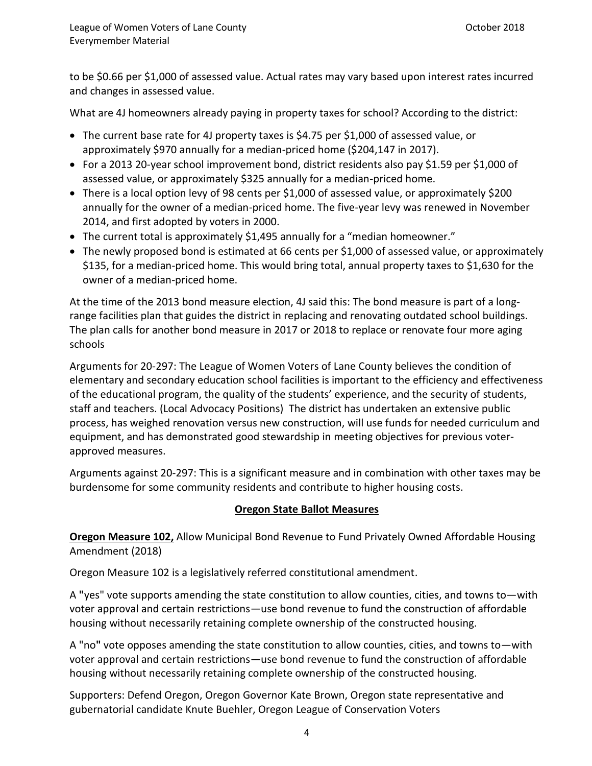to be \$0.66 per \$1,000 of assessed value. Actual rates may vary based upon interest rates incurred and changes in assessed value.

What are 4J homeowners already paying in property taxes for school? According to the district:

- The current base rate for 4J property taxes is \$4.75 per \$1,000 of assessed value, or approximately \$970 annually for a median-priced home (\$204,147 in 2017).
- For a 2013 20-year school improvement bond, district residents also pay \$1.59 per \$1,000 of assessed value, or approximately \$325 annually for a median-priced home.
- There is a local option levy of 98 cents per \$1,000 of assessed value, or approximately \$200 annually for the owner of a median-priced home. The five-year levy was renewed in November 2014, and first adopted by voters in 2000.
- The current total is approximately \$1,495 annually for a "median homeowner."
- The newly proposed bond is estimated at 66 cents per \$1,000 of assessed value, or approximately \$135, for a median-priced home. This would bring total, annual property taxes to \$1,630 for the owner of a median-priced home.

At the time of the 2013 bond measure election, 4J said this: The bond measure is part of a longrange facilities plan that guides the district in replacing and renovating outdated school buildings. The plan calls for another bond measure in 2017 or 2018 to replace or renovate four more aging schools

Arguments for 20-297: The League of Women Voters of Lane County believes the condition of elementary and secondary education school facilities is important to the efficiency and effectiveness of the educational program, the quality of the students' experience, and the security of students, staff and teachers. (Local Advocacy Positions) The district has undertaken an extensive public process, has weighed renovation versus new construction, will use funds for needed curriculum and equipment, and has demonstrated good stewardship in meeting objectives for previous voterapproved measures.

Arguments against 20-297: This is a significant measure and in combination with other taxes may be burdensome for some community residents and contribute to higher housing costs.

#### **Oregon State Ballot Measures**

**Oregon Measure 102,** Allow Municipal Bond Revenue to Fund Privately Owned Affordable Housing Amendment (2018)

Oregon Measure 102 is a [legislatively referred constitutional amendment.](https://ballotpedia.org/Legislatively_referred_constitutional_amendment)

A **"**yes" vote supports amending the state constitution to allow counties, cities, and towns to—with voter approval and certain restrictions—use bond revenue to fund the construction of affordable housing without necessarily retaining complete ownership of the constructed housing.

A "no**"** vote opposes amending the state constitution to allow counties, cities, and towns to—with voter approval and certain restrictions—use bond revenue to fund the construction of affordable housing without necessarily retaining complete ownership of the constructed housing.

Supporters: Defend Oregon, Oregon Governor Kate Brown, Oregon state representative and gubernatorial candidate Knute Buehler, Oregon League of Conservation Voters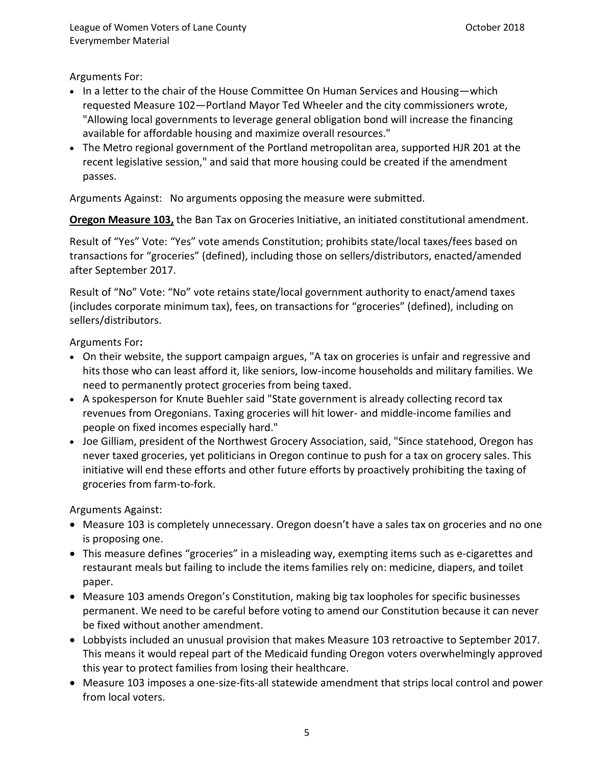Arguments For:

- In a letter to the chair of the House Committee On Human Services and Housing—which requested Measure 102—Portland Mayor Ted Wheeler and the city commissioners wrote, "Allowing local governments to leverage general obligation bond will increase the financing available for affordable housing and maximize overall resources."
- The [Metro regional government](https://www.oregonmetro.gov/) of the Portland metropolitan area, supported HJR 201 at the recent legislative session," and said that more housing could be created if the amendment passes.

Arguments Against: No arguments opposing the measure were submitted.

**Oregon Measure 103,** the Ban Tax on Groceries Initiative, an [initiated constitutional amendment.](https://ballotpedia.org/Initiated_constitutional_amendment)

Result of "Yes" Vote: "Yes" vote amends Constitution; prohibits state/local taxes/fees based on transactions for "groceries" (defined), including those on sellers/distributors, enacted/amended after September 2017.

Result of "No" Vote: "No" vote retains state/local government authority to enact/amend taxes (includes corporate minimum tax), fees, on transactions for "groceries" (defined), including on sellers/distributors.

Arguments For**:**

- On their website, the support campaign argues, "A tax on groceries is unfair and regressive and hits those who can least afford it, like seniors, low-income households and military families. We need to permanently protect groceries from being taxed.
- A spokesperson for [Knute Buehler](https://ballotpedia.org/Knute_Buehler) said "State government is already collecting record tax revenues from Oregonians. Taxing groceries will hit lower- and middle-income families and people on fixed incomes especially hard."
- Joe Gilliam, president of the Northwest Grocery Association, said, "Since statehood, Oregon has never taxed groceries, yet politicians in Oregon continue to push for a tax on grocery sales. This initiative will end these efforts and other future efforts by proactively prohibiting the taxing of groceries from farm-to-fork.

Arguments Against:

- Measure 103 is completely unnecessary. Oregon doesn't have a sales tax on groceries and no one is proposing one.
- This measure defines "groceries" in a misleading way, exempting items such as e-cigarettes and restaurant meals but failing to include the items families rely on: medicine, diapers, and toilet paper.
- Measure 103 amends Oregon's Constitution, making big tax loopholes for specific businesses permanent. We need to be careful before voting to amend our Constitution because it can never be fixed without another amendment.
- Lobbyists included an unusual provision that makes Measure 103 retroactive to September 2017. This means it would repeal part of the Medicaid funding Oregon voters overwhelmingly approved this year to protect families from losing their healthcare.
- Measure 103 imposes a one-size-fits-all statewide amendment that strips local control and power from local voters.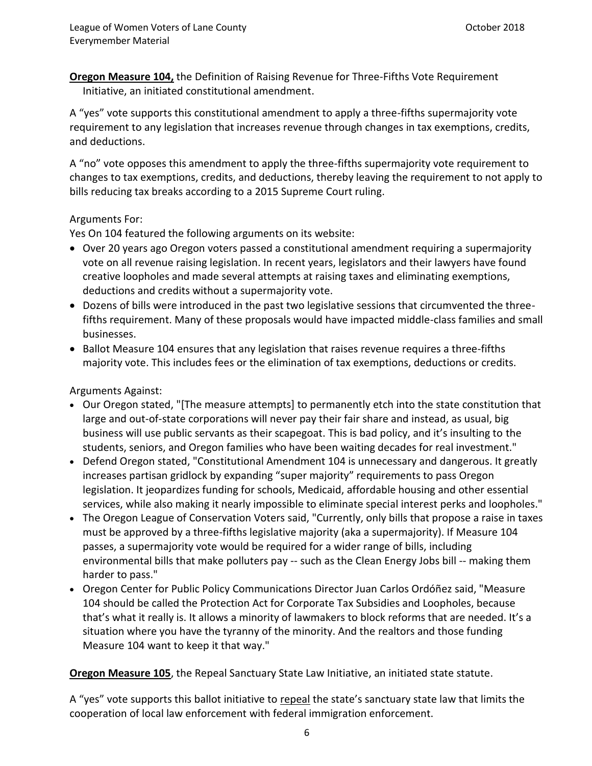**Oregon Measure 104,** the Definition of Raising Revenue for Three-Fifths Vote Requirement Initiative, a[n initiated constitutional amendment.](https://ballotpedia.org/Initiated_constitutional_amendment)

A "yes" vote supports this constitutional amendment to apply a three-fifths supermajority vote requirement to [any legislation that increases revenue](https://ballotpedia.org/Oregon_Measure_104,_Definition_of_Raising_Revenue_for_Three-Fifths_Vote_Requirement_Initiative_(2018)#Constitutional_changes) through changes in tax exemptions, credits, and deductions.

A "no" vote opposes this amendment to apply the three-fifths supermajority vote requirement to changes to tax exemptions, credits, and deductions, thereby leaving the requirement to not apply to bills reducing tax breaks according to a [2015 Supreme Court ruling.](https://ballotpedia.org/Oregon_Measure_104,_Definition_of_Raising_Revenue_for_Three-Fifths_Vote_Requirement_Initiative_(2018)#Measure_design)

#### Arguments For:

Yes On 104 featured the following arguments on its website:

- Over 20 years ago Oregon voters passed a constitutional amendment requiring a supermajority vote on all revenue raising legislation. In recent years, legislators and their lawyers have found creative loopholes and made several attempts at raising taxes and eliminating exemptions, deductions and credits without a supermajority vote.
- Dozens of bills were introduced in the past two legislative sessions that circumvented the threefifths requirement. Many of these proposals would have impacted middle-class families and small businesses.
- Ballot Measure 104 ensures that any legislation that raises revenue requires a three-fifths majority vote. This includes fees or the elimination of tax exemptions, deductions or credits.

Arguments Against:

- [Our Oregon](https://ballotpedia.org/Our_Oregon) stated, "[The measure attempts] to permanently etch into the state constitution that large and out-of-state corporations will never pay their fair share and instead, as usual, big business will use public servants as their scapegoat. This is bad policy, and it's insulting to the students, seniors, and Oregon families who have been waiting decades for real investment."
- [Defend Oregon](https://ballotpedia.org/Defend_Oregon) stated, "Constitutional Amendment 104 is unnecessary and dangerous. It greatly increases partisan gridlock by expanding "super majority" requirements to pass Oregon legislation. It jeopardizes funding for schools, Medicaid, affordable housing and other essential services, while also making it nearly impossible to eliminate special interest perks and loopholes."
- The Oregon League of Conservation Voters said, "Currently, only bills that propose a raise in taxes must be approved by a three-fifths legislative majority (aka a supermajority). If Measure 104 passes, a supermajority vote would be required for a wider range of bills, including environmental bills that make polluters pay -- such as the Clean Energy Jobs bill -- making them harder to pass."
- [Oregon Center for Public Policy](https://ballotpedia.org/Oregon_Center_for_Public_Policy) Communications Director Juan Carlos Ordóñez said, "Measure 104 should be called the Protection Act for Corporate Tax Subsidies and Loopholes, because that's what it really is. It allows a minority of lawmakers to block reforms that are needed. It's a situation where you have the tyranny of the minority. And the realtors and those funding Measure 104 want to keep it that way."

**Oregon Measure 105**, the Repeal Sanctuary State Law Initiative, a[n initiated state statute.](https://ballotpedia.org/Initiated_state_statute)

A "yes" vote supports this ballot initiative to repeal the state's sanctuary state law that limits the cooperation of local law enforcement with federal immigration enforcement.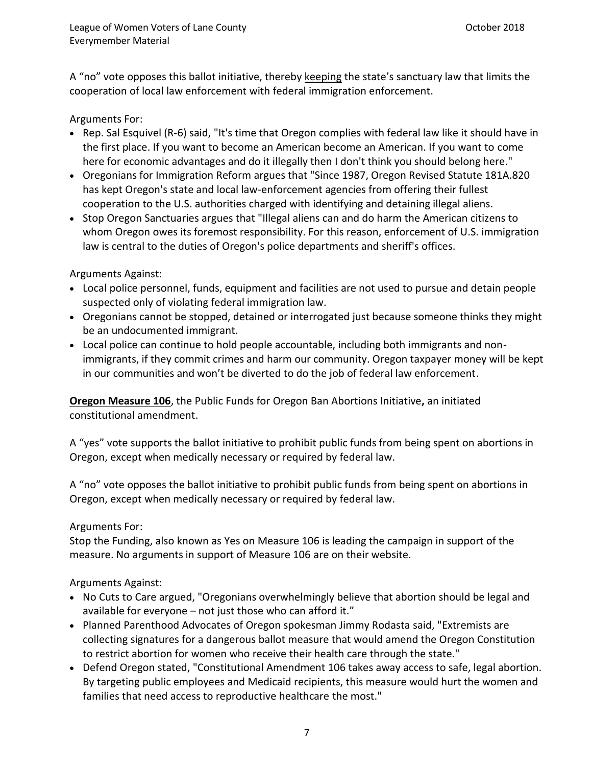A "no" vote opposes this ballot initiative, thereby keeping the state's sanctuary law that limits the cooperation of local law enforcement with federal immigration enforcement.

### Arguments For:

- [Rep. Sal Esquivel](https://ballotpedia.org/Sal_Esquivel) (R-6) said, "It's time that Oregon complies with federal law like it should have in the first place. If you want to become an American become an American. If you want to come here for economic advantages and do it illegally then I don't think you should belong here."
- Oregonians for Immigration Reform argues that "Since 1987, Oregon Revised Statute 181A.820 has kept Oregon's state and local law-enforcement agencies from offering their fullest cooperation to the U.S. authorities charged with identifying and detaining illegal aliens.
- Stop Oregon Sanctuaries argues that "Illegal aliens can and do harm the American citizens to whom Oregon owes its foremost responsibility. For this reason, enforcement of U.S. immigration law is central to the duties of Oregon's police departments and sheriff's offices.

### Arguments Against:

- Local police personnel, funds, equipment and facilities are not used to pursue and detain people suspected only of violating federal immigration law.
- Oregonians cannot be stopped, detained or interrogated just because someone thinks they might be an undocumented immigrant.
- Local police can continue to hold people accountable, including both immigrants and nonimmigrants, if they commit crimes and harm our community. Oregon taxpayer money will be kept in our communities and won't be diverted to do the job of federal law enforcement.

**Oregon Measure 106**, the Public Funds for Oregon Ban Abortions Initiative**,** a[n initiated](https://ballotpedia.org/Initiated_constitutional_amendment)  [constitutional amendment.](https://ballotpedia.org/Initiated_constitutional_amendment)

A "yes" vote supports the ballot initiative to prohibit public funds from being spent on abortions in Oregon, except when medically necessary or required by federal law.

A "no" vote opposes the ballot initiative to prohibit public funds from being spent on abortions in Oregon, except when medically necessary or required by federal law.

# Arguments For:

Stop the Funding, also known as Yes on Measure 106 is leading the campaign in support of the measure. No arguments in support of Measure 106 are on their website.

Arguments Against:

- No Cuts to Care argued, "Oregonians overwhelmingly believe that abortion should be legal and available for everyone – not just those who can afford it."
- Planned Parenthood Advocates of Oregon spokesman Jimmy Rodasta said, "Extremists are collecting signatures for a dangerous ballot measure that would amend the Oregon Constitution to restrict abortion for women who receive their health care through the state."
- [Defend Oregon](https://ballotpedia.org/Defend_Oregon) stated, "Constitutional Amendment 106 takes away access to safe, legal abortion. By targeting public employees and Medicaid recipients, this measure would hurt the women and families that need access to reproductive healthcare the most."